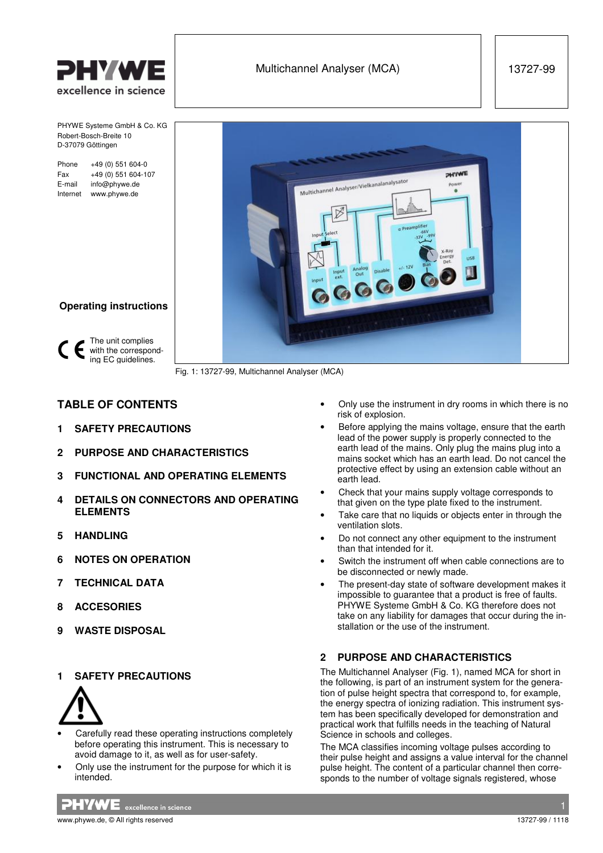

PHYWE Systeme GmbH & Co. KG

Robert-Bosch-Breite 10 D-37079 Göttingen

Phone +49 (0) 551 604-0 Fax +49 (0) 551 604-107 E-mail info@phywe.de Internet www.phywe.de



Fig. 1: 13727-99, Multichannel Analyser (MCA)

# **TABLE OF CONTENTS**

**Operating instructions**

The unit complies  $\sum_{n=0}^{\infty}$  with the corresponding EC guidelines.

- **1 SAFETY PRECAUTIONS**
- **2 PURPOSE AND CHARACTERISTICS**
- **3 FUNCTIONAL AND OPERATING ELEMENTS**
- **4 DETAILS ON CONNECTORS AND OPERATING ELEMENTS**
- **5 HANDLING**
- **6 NOTES ON OPERATION**
- **7 TECHNICAL DATA**
- **8 ACCESORIES**
- **9 WASTE DISPOSAL**

## **SAFETY PRECAUTIONS**



- Carefully read these operating instructions completely before operating this instrument. This is necessary to avoid damage to it, as well as for user-safety.
- Only use the instrument for the purpose for which it is intended.

• Only use the instrument in dry rooms in which there is no risk of explosion.

- Before applying the mains voltage, ensure that the earth lead of the power supply is properly connected to the earth lead of the mains. Only plug the mains plug into a mains socket which has an earth lead. Do not cancel the protective effect by using an extension cable without an earth lead.
- Check that your mains supply voltage corresponds to that given on the type plate fixed to the instrument.
- Take care that no liquids or objects enter in through the ventilation slots.
- Do not connect any other equipment to the instrument than that intended for it.
- Switch the instrument off when cable connections are to be disconnected or newly made.
- The present-day state of software development makes it impossible to guarantee that a product is free of faults. PHYWE Systeme GmbH & Co. KG therefore does not take on any liability for damages that occur during the installation or the use of the instrument.

## **2 PURPOSE AND CHARACTERISTICS**

The Multichannel Analyser (Fig. 1), named MCA for short in the following, is part of an instrument system for the generation of pulse height spectra that correspond to, for example, the energy spectra of ionizing radiation. This instrument system has been specifically developed for demonstration and practical work that fulfills needs in the teaching of Natural Science in schools and colleges.

The MCA classifies incoming voltage pulses according to their pulse height and assigns a value interval for the channel pulse height. The content of a particular channel then corresponds to the number of voltage signals registered, whose

 $PHVWE$  excellence in science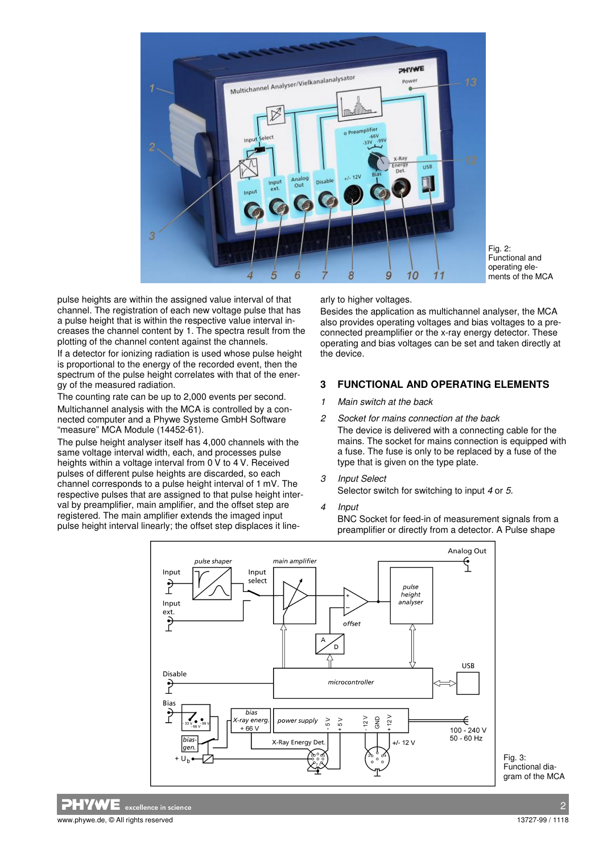

Fig. 2: Functional and operating elements of the MCA

pulse heights are within the assigned value interval of that channel. The registration of each new voltage pulse that has a pulse height that is within the respective value interval increases the channel content by 1. The spectra result from the plotting of the channel content against the channels.

If a detector for ionizing radiation is used whose pulse height is proportional to the energy of the recorded event, then the spectrum of the pulse height correlates with that of the energy of the measured radiation.

The counting rate can be up to 2,000 events per second. Multichannel analysis with the MCA is controlled by a connected computer and a Phywe Systeme GmbH Software "measure" MCA Module (14452-61).

The pulse height analyser itself has 4,000 channels with the same voltage interval width, each, and processes pulse heights within a voltage interval from 0 V to 4 V. Received pulses of different pulse heights are discarded, so each channel corresponds to a pulse height interval of 1 mV. The respective pulses that are assigned to that pulse height interval by preamplifier, main amplifier, and the offset step are registered. The main amplifier extends the imaged input pulse height interval linearly; the offset step displaces it linearly to higher voltages.

Besides the application as multichannel analyser, the MCA also provides operating voltages and bias voltages to a preconnected preamplifier or the x-ray energy detector. These operating and bias voltages can be set and taken directly at the device.

### **3 FUNCTIONAL AND OPERATING ELEMENTS**

- 1 Main switch at the back
- 2 Socket for mains connection at the back The device is delivered with a connecting cable for the mains. The socket for mains connection is equipped with a fuse. The fuse is only to be replaced by a fuse of the type that is given on the type plate.
- 3 Input Select Selector switch for switching to input 4 or 5.
- 4 Input

BNC Socket for feed-in of measurement signals from a preamplifier or directly from a detector. A Pulse shape



Fig. 3: Functional diagram of the MCA

 $\overline{\textbf{NE}}$  excellence in scienc

www.phywe.de. © All rights reserved 13727-99 / 1118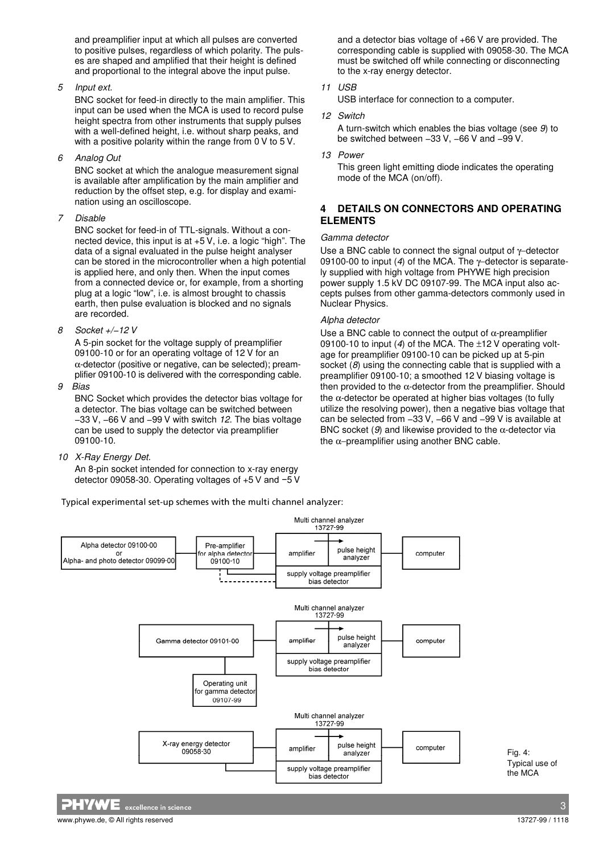and preamplifier input at which all pulses are converted to positive pulses, regardless of which polarity. The pulses are shaped and amplified that their height is defined and proportional to the integral above the input pulse.

### 5 Input ext.

BNC socket for feed-in directly to the main amplifier. This input can be used when the MCA is used to record pulse height spectra from other instruments that supply pulses with a well-defined height, i.e. without sharp peaks, and with a positive polarity within the range from 0 V to 5 V.

6 Analog Out

BNC socket at which the analogue measurement signal is available after amplification by the main amplifier and reduction by the offset step, e.g. for display and examination using an oscilloscope.

7 Disable

BNC socket for feed-in of TTL-signals. Without a connected device, this input is at +5 V, i.e. a logic "high". The data of a signal evaluated in the pulse height analyser can be stored in the microcontroller when a high potential is applied here, and only then. When the input comes from a connected device or, for example, from a shorting plug at a logic "low", i.e. is almost brought to chassis earth, then pulse evaluation is blocked and no signals are recorded.

8 Socket +/−12 V

A 5-pin socket for the voltage supply of preamplifier 09100-10 or for an operating voltage of 12 V for an  $\alpha$ -detector (positive or negative, can be selected); preamplifier 09100-10 is delivered with the corresponding cable.

9 Bias

BNC Socket which provides the detector bias voltage for a detector. The bias voltage can be switched between −33 V, −66 V and −99 V with switch 12. The bias voltage can be used to supply the detector via preamplifier 09100-10.

10 X-Ray Energy Det.

An 8-pin socket intended for connection to x-ray energy detector 09058-30. Operating voltages of +5 V and −5 V

Typical experimental set-up schemes with the multi channel analyzer:

and a detector bias voltage of +66 V are provided. The corresponding cable is supplied with 09058-30. The MCA must be switched off while connecting or disconnecting to the x-ray energy detector.

11 USB

USB interface for connection to a computer.

12 Switch

A turn-switch which enables the bias voltage (see 9) to be switched between −33 V, −66 V and −99 V.

13 Power

This green light emitting diode indicates the operating mode of the MCA (on/off).

## **4 DETAILS ON CONNECTORS AND OPERATING ELEMENTS**

### Gamma detector

Use a BNC cable to connect the signal output of γ−detector 09100-00 to input (4) of the MCA. The γ−detector is separately supplied with high voltage from PHYWE high precision power supply 1.5 kV DC 09107-99. The MCA input also accepts pulses from other gamma-detectors commonly used in Nuclear Physics.

### Alpha detector

Use a BNC cable to connect the output of  $\alpha$ -preamplifier 09100-10 to input (4) of the MCA. The  $\pm$ 12 V operating voltage for preamplifier 09100-10 can be picked up at 5-pin socket (8) using the connecting cable that is supplied with a preamplifier 09100-10; a smoothed 12 V biasing voltage is then provided to the  $α$ -detector from the preamplifier. Should the  $\alpha$ -detector be operated at higher bias voltages (to fully utilize the resolving power), then a negative bias voltage that can be selected from −33 V, −66 V and −99 V is available at BNC socket (9) and likewise provided to the  $\alpha$ -detector via the  $α$ -preamplifier using another BNC cable.



Fig. 4: Typical use of the MCA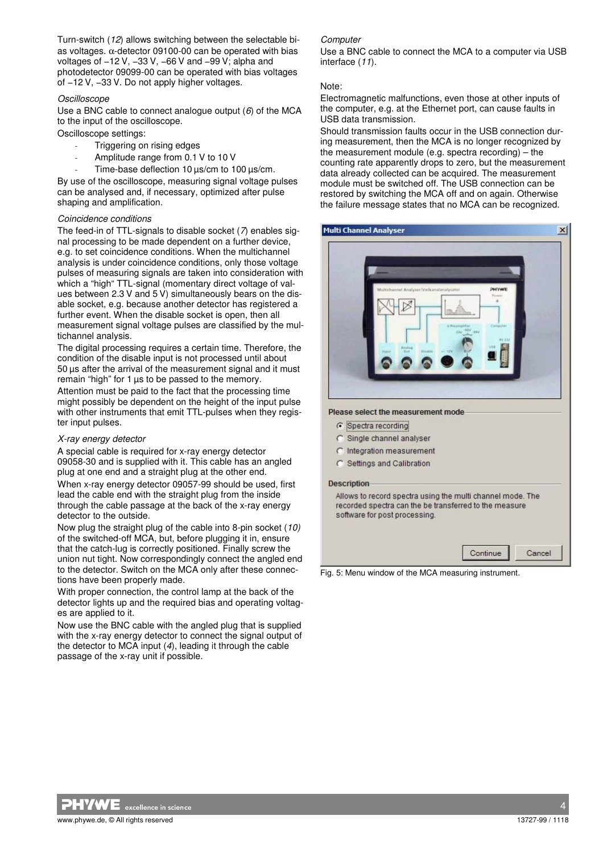Turn-switch (12) allows switching between the selectable bias voltages. α-detector 09100-00 can be operated with bias voltages of −12 V, −33 V, −66 V and −99 V; alpha and photodetector 09099-00 can be operated with bias voltages of −12 V, −33 V. Do not apply higher voltages.

### Oscilloscope

Use a BNC cable to connect analogue output (6) of the MCA to the input of the oscilloscope.

Oscilloscope settings:

- Triggering on rising edges
- Amplitude range from 0.1 V to 10 V
- Time-base deflection 10  $\mu$ s/cm to 100  $\mu$ s/cm.

By use of the oscilloscope, measuring signal voltage pulses can be analysed and, if necessary, optimized after pulse shaping and amplification.

### Coincidence conditions

The feed-in of TTL-signals to disable socket  $(7)$  enables signal processing to be made dependent on a further device, e.g. to set coincidence conditions. When the multichannel analysis is under coincidence conditions, only those voltage pulses of measuring signals are taken into consideration with which a "high" TTL-signal (momentary direct voltage of values between 2.3 V and 5 V) simultaneously bears on the disable socket, e.g. because another detector has registered a further event. When the disable socket is open, then all measurement signal voltage pulses are classified by the multichannel analysis.

The digital processing requires a certain time. Therefore, the condition of the disable input is not processed until about 50 µs after the arrival of the measurement signal and it must remain "high" for 1 µs to be passed to the memory.

Attention must be paid to the fact that the processing time might possibly be dependent on the height of the input pulse with other instruments that emit TTL-pulses when they register input pulses.

#### X-ray energy detector

A special cable is required for x-ray energy detector 09058-30 and is supplied with it. This cable has an angled plug at one end and a straight plug at the other end. When x-ray energy detector 09057-99 should be used, first lead the cable end with the straight plug from the inside through the cable passage at the back of the x-ray energy detector to the outside.

Now plug the straight plug of the cable into 8-pin socket (10) of the switched-off MCA, but, before plugging it in, ensure that the catch-lug is correctly positioned. Finally screw the union nut tight. Now correspondingly connect the angled end to the detector. Switch on the MCA only after these connections have been properly made.

With proper connection, the control lamp at the back of the detector lights up and the required bias and operating voltages are applied to it.

Now use the BNC cable with the angled plug that is supplied with the x-ray energy detector to connect the signal output of the detector to MCA input (4), leading it through the cable passage of the x-ray unit if possible.

### **Computer**

Use a BNC cable to connect the MCA to a computer via USB interface (11).

### Note:

Electromagnetic malfunctions, even those at other inputs of the computer, e.g. at the Ethernet port, can cause faults in USB data transmission.

Should transmission faults occur in the USB connection during measurement, then the MCA is no longer recognized by the measurement module (e.g. spectra recording) – the counting rate apparently drops to zero, but the measurement data already collected can be acquired. The measurement module must be switched off. The USB connection can be restored by switching the MCA off and on again. Otherwise the failure message states that no MCA can be recognized.

| Multichannel Analyser/Vielkanalanalysator<br>a Preargil/lat | PHYWE<br><b>Possens</b>            |  |
|-------------------------------------------------------------|------------------------------------|--|
| <b>AEV ANV</b><br><b>KEV</b><br>$-128$                      | Computer<br><b>USB</b>             |  |
|                                                             |                                    |  |
|                                                             | Please select the measurement mode |  |

C Settings and Calibration

#### **Description**

Allows to record spectra using the multi channel mode. The recorded spectra can the be transferred to the measure software for post processing

|--|--|

Fig. 5: Menu window of the MCA measuring instrument.

excellence in science www.phywe.de. © All rights reserved and the second intervals of the served of the served of the served of the served of the served of the served of the served of the served of the served of the served of the served of the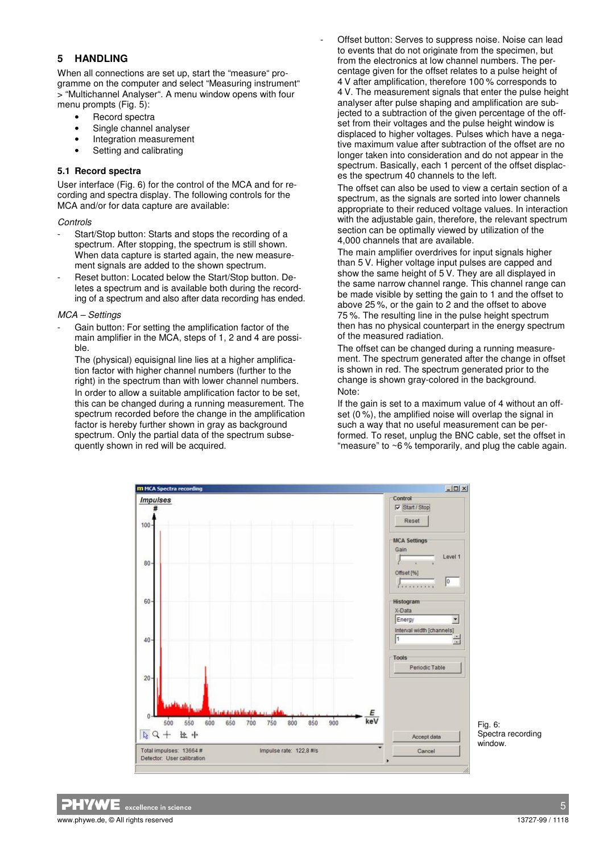## **5 HANDLING**

When all connections are set up, start the "measure" programme on the computer and select "Measuring instrument" > "Multichannel Analyser". A menu window opens with four menu prompts (Fig. 5):

- Record spectra
- Single channel analyser
- Integration measurement
- Setting and calibrating

### **5.1 Record spectra**

User interface (Fig. 6) for the control of the MCA and for recording and spectra display. The following controls for the MCA and/or for data capture are available:

#### **Controls**

- Start/Stop button: Starts and stops the recording of a spectrum. After stopping, the spectrum is still shown. When data capture is started again, the new measurement signals are added to the shown spectrum.
- Reset button: Located below the Start/Stop button. Deletes a spectrum and is available both during the recording of a spectrum and also after data recording has ended.

### MCA – Settings

Gain button: For setting the amplification factor of the main amplifier in the MCA, steps of 1, 2 and 4 are possible.

The (physical) equisignal line lies at a higher amplification factor with higher channel numbers (further to the right) in the spectrum than with lower channel numbers. In order to allow a suitable amplification factor to be set, this can be changed during a running measurement. The spectrum recorded before the change in the amplification factor is hereby further shown in gray as background spectrum. Only the partial data of the spectrum subsequently shown in red will be acquired.

Offset button: Serves to suppress noise. Noise can lead to events that do not originate from the specimen, but from the electronics at low channel numbers. The percentage given for the offset relates to a pulse height of 4 V after amplification, therefore 100 % corresponds to 4 V. The measurement signals that enter the pulse height analyser after pulse shaping and amplification are subjected to a subtraction of the given percentage of the offset from their voltages and the pulse height window is displaced to higher voltages. Pulses which have a negative maximum value after subtraction of the offset are no longer taken into consideration and do not appear in the spectrum. Basically, each 1 percent of the offset displaces the spectrum 40 channels to the left.

The offset can also be used to view a certain section of a spectrum, as the signals are sorted into lower channels appropriate to their reduced voltage values. In interaction with the adjustable gain, therefore, the relevant spectrum section can be optimally viewed by utilization of the 4,000 channels that are available.

The main amplifier overdrives for input signals higher than 5 V. Higher voltage input pulses are capped and show the same height of 5 V. They are all displayed in the same narrow channel range. This channel range can be made visible by setting the gain to 1 and the offset to above 25 %, or the gain to 2 and the offset to above 75 %. The resulting line in the pulse height spectrum then has no physical counterpart in the energy spectrum of the measured radiation.

The offset can be changed during a running measurement. The spectrum generated after the change in offset is shown in red. The spectrum generated prior to the change is shown gray-colored in the background. Note:

If the gain is set to a maximum value of 4 without an offset (0 %), the amplified noise will overlap the signal in such a way that no useful measurement can be performed. To reset, unplug the BNC cable, set the offset in "measure" to ~6 % temporarily, and plug the cable again.



Fig. 6: Spectra recording window.

 $\blacksquare$   $\blacksquare$   $\blacksquare$   $\blacksquare$   $\blacksquare$   $\blacksquare$   $\blacksquare$   $\blacksquare$   $\blacksquare$   $\blacksquare$   $\blacksquare$   $\blacksquare$   $\blacksquare$   $\blacksquare$   $\blacksquare$   $\blacksquare$   $\blacksquare$   $\blacksquare$   $\blacksquare$   $\blacksquare$   $\blacksquare$   $\blacksquare$   $\blacksquare$   $\blacksquare$   $\blacksquare$   $\blacksquare$   $\blacksquare$   $\blacksquare$   $\blacksquare$   $\blacksquare$   $\blacksquare$   $\blacks$ www.phywe.de. © All rights reserved and the second intervals of the served of the served of the served of the served of the served of the served of the served of the served of the served of the served of the served of the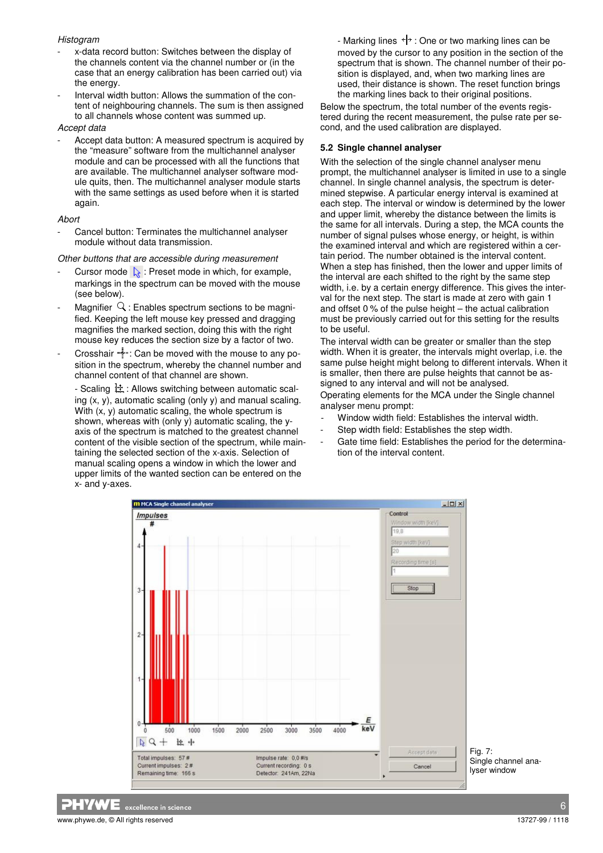### **Histogram**

- x-data record button: Switches between the display of the channels content via the channel number or (in the case that an energy calibration has been carried out) via the energy.
- Interval width button: Allows the summation of the content of neighbouring channels. The sum is then assigned to all channels whose content was summed up.

### Accept data

Accept data button: A measured spectrum is acquired by the "measure" software from the multichannel analyser module and can be processed with all the functions that are available. The multichannel analyser software module quits, then. The multichannel analyser module starts with the same settings as used before when it is started again.

### Abort

Cancel button: Terminates the multichannel analyser module without data transmission.

### Other buttons that are accessible during measurement

- Cursor mode  $\frac{1}{26}$ : Preset mode in which, for example, markings in the spectrum can be moved with the mouse (see below).
- Magnifier  $Q$ : Enables spectrum sections to be magnified. Keeping the left mouse key pressed and dragging magnifies the marked section, doing this with the right mouse key reduces the section size by a factor of two.
- Crosshair : Can be moved with the mouse to any position in the spectrum, whereby the channel number and channel content of that channel are shown.

- Scaling  $\frac{1}{2}$ : Allows switching between automatic scaling (x, y), automatic scaling (only y) and manual scaling. With  $(x, y)$  automatic scaling, the whole spectrum is shown, whereas with (only y) automatic scaling, the yaxis of the spectrum is matched to the greatest channel content of the visible section of the spectrum, while maintaining the selected section of the x-axis. Selection of manual scaling opens a window in which the lower and upper limits of the wanted section can be entered on the x- and y-axes.

- Marking lines  $\leftarrow$   $\uparrow$  : One or two marking lines can be moved by the cursor to any position in the section of the spectrum that is shown. The channel number of their position is displayed, and, when two marking lines are used, their distance is shown. The reset function brings the marking lines back to their original positions.

Below the spectrum, the total number of the events registered during the recent measurement, the pulse rate per second, and the used calibration are displayed.

### **5.2 Single channel analyser**

With the selection of the single channel analyser menu prompt, the multichannel analyser is limited in use to a single channel. In single channel analysis, the spectrum is determined stepwise. A particular energy interval is examined at each step. The interval or window is determined by the lower and upper limit, whereby the distance between the limits is the same for all intervals. During a step, the MCA counts the number of signal pulses whose energy, or height, is within the examined interval and which are registered within a certain period. The number obtained is the interval content. When a step has finished, then the lower and upper limits of the interval are each shifted to the right by the same step width, i.e. by a certain energy difference. This gives the interval for the next step. The start is made at zero with gain 1 and offset 0 % of the pulse height – the actual calibration must be previously carried out for this setting for the results to be useful.

The interval width can be greater or smaller than the step width. When it is greater, the intervals might overlap, i.e. the same pulse height might belong to different intervals. When it is smaller, then there are pulse heights that cannot be assigned to any interval and will not be analysed.

Operating elements for the MCA under the Single channel analyser menu prompt:

- Window width field: Establishes the interval width.
- Step width field: Establishes the step width.
- Gate time field: Establishes the period for the determination of the interval content.



Single channel analyser window

excellence in science that the contract of the contract of the contract of the contract of the contract of the www.phywe.de. © All rights reserved and the second intervals of the served of the served of the served of the served of the served of the served of the served of the served of the served of the served of the served of the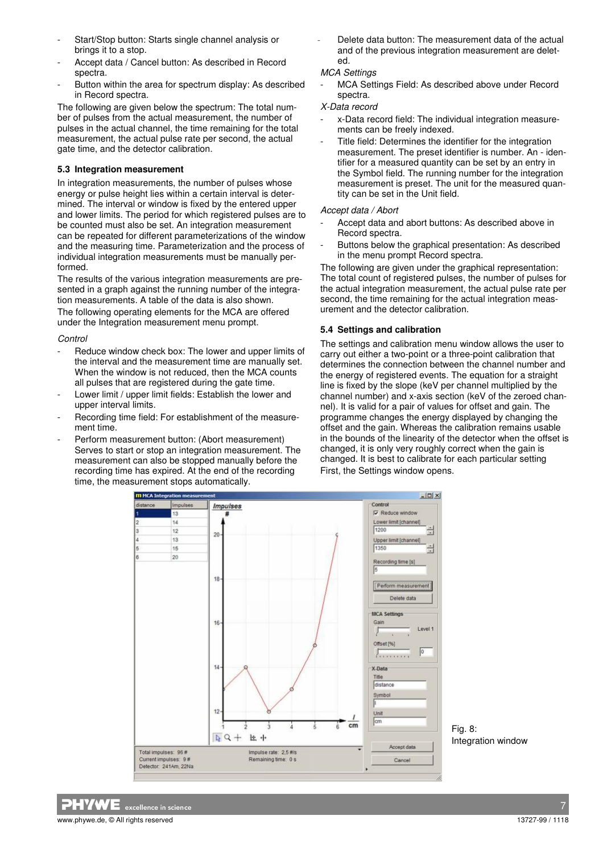- Start/Stop button: Starts single channel analysis or brings it to a stop.
- Accept data / Cancel button: As described in Record spectra.
- Button within the area for spectrum display: As described in Record spectra.

The following are given below the spectrum: The total number of pulses from the actual measurement, the number of pulses in the actual channel, the time remaining for the total measurement, the actual pulse rate per second, the actual gate time, and the detector calibration.

#### **5.3 Integration measurement**

In integration measurements, the number of pulses whose energy or pulse height lies within a certain interval is determined. The interval or window is fixed by the entered upper and lower limits. The period for which registered pulses are to be counted must also be set. An integration measurement can be repeated for different parameterizations of the window and the measuring time. Parameterization and the process of individual integration measurements must be manually performed.

The results of the various integration measurements are presented in a graph against the running number of the integration measurements. A table of the data is also shown. The following operating elements for the MCA are offered under the Integration measurement menu prompt.

#### Control

- Reduce window check box: The lower and upper limits of the interval and the measurement time are manually set. When the window is not reduced, then the MCA counts all pulses that are registered during the gate time.
- Lower limit / upper limit fields: Establish the lower and upper interval limits.
- Recording time field: For establishment of the measurement time.
- Perform measurement button: (Abort measurement) Serves to start or stop an integration measurement. The measurement can also be stopped manually before the recording time has expired. At the end of the recording time, the measurement stops automatically.

Delete data button: The measurement data of the actual and of the previous integration measurement are deleted.

### MCA Settings

MCA Settings Field: As described above under Record spectra.

#### X-Data record

- x-Data record field: The individual integration measurements can be freely indexed.
- Title field: Determines the identifier for the integration measurement. The preset identifier is number. An - identifier for a measured quantity can be set by an entry in the Symbol field. The running number for the integration measurement is preset. The unit for the measured quantity can be set in the Unit field.

#### Accept data / Abort

- Accept data and abort buttons: As described above in Record spectra.
- Buttons below the graphical presentation: As described in the menu prompt Record spectra.

The following are given under the graphical representation: The total count of registered pulses, the number of pulses for the actual integration measurement, the actual pulse rate per second, the time remaining for the actual integration measurement and the detector calibration.

### **5.4 Settings and calibration**

The settings and calibration menu window allows the user to carry out either a two-point or a three-point calibration that determines the connection between the channel number and the energy of registered events. The equation for a straight line is fixed by the slope (keV per channel multiplied by the channel number) and x-axis section (keV of the zeroed channel). It is valid for a pair of values for offset and gain. The programme changes the energy displayed by changing the offset and the gain. Whereas the calibration remains usable in the bounds of the linearity of the detector when the offset is changed, it is only very roughly correct when the gain is changed. It is best to calibrate for each particular setting First, the Settings window opens.



Integration window

**HYWE** excellence in science www.phywe.de. © All rights reserved 13727-99 / 1118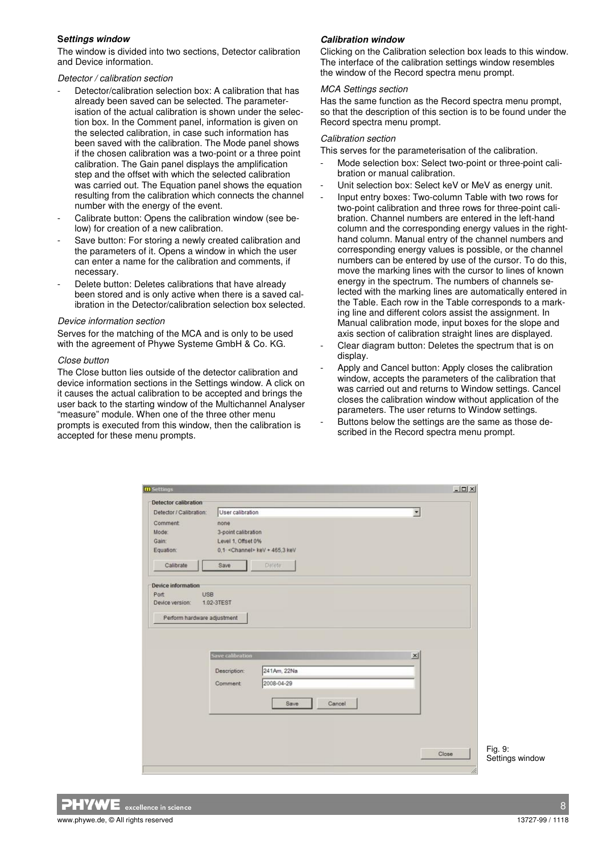### **Settings window**

The window is divided into two sections, Detector calibration and Device information.

Detector / calibration section

- Detector/calibration selection box: A calibration that has already been saved can be selected. The parameterisation of the actual calibration is shown under the selection box. In the Comment panel, information is given on the selected calibration, in case such information has been saved with the calibration. The Mode panel shows if the chosen calibration was a two-point or a three point calibration. The Gain panel displays the amplification step and the offset with which the selected calibration was carried out. The Equation panel shows the equation resulting from the calibration which connects the channel number with the energy of the event.
- Calibrate button: Opens the calibration window (see below) for creation of a new calibration.
- Save button: For storing a newly created calibration and the parameters of it. Opens a window in which the user can enter a name for the calibration and comments, if necessary.
- Delete button: Deletes calibrations that have already been stored and is only active when there is a saved calibration in the Detector/calibration selection box selected.

#### Device information section

Serves for the matching of the MCA and is only to be used with the agreement of Phywe Systeme GmbH & Co. KG.

#### Close button

The Close button lies outside of the detector calibration and device information sections in the Settings window. A click on it causes the actual calibration to be accepted and brings the user back to the starting window of the Multichannel Analyser "measure" module. When one of the three other menu prompts is executed from this window, then the calibration is accepted for these menu prompts.

### **Calibration window**

Clicking on the Calibration selection box leads to this window. The interface of the calibration settings window resembles the window of the Record spectra menu prompt.

#### MCA Settings section

Has the same function as the Record spectra menu prompt, so that the description of this section is to be found under the Record spectra menu prompt.

#### Calibration section

This serves for the parameterisation of the calibration.

- Mode selection box: Select two-point or three-point calibration or manual calibration.
- Unit selection box: Select keV or MeV as energy unit.
- Input entry boxes: Two-column Table with two rows for two-point calibration and three rows for three-point calibration. Channel numbers are entered in the left-hand column and the corresponding energy values in the righthand column. Manual entry of the channel numbers and corresponding energy values is possible, or the channel numbers can be entered by use of the cursor. To do this, move the marking lines with the cursor to lines of known energy in the spectrum. The numbers of channels selected with the marking lines are automatically entered in the Table. Each row in the Table corresponds to a marking line and different colors assist the assignment. In Manual calibration mode, input boxes for the slope and axis section of calibration straight lines are displayed.
- Clear diagram button: Deletes the spectrum that is on display.
- Apply and Cancel button: Apply closes the calibration window, accepts the parameters of the calibration that was carried out and returns to Window settings. Cancel closes the calibration window without application of the parameters. The user returns to Window settings.
- Buttons below the settings are the same as those described in the Record spectra menu prompt.

| <b>Detector calibration</b> |                         |                                  |                          |
|-----------------------------|-------------------------|----------------------------------|--------------------------|
| Detector / Calibration:     | User calibration        |                                  | $\overline{\phantom{a}}$ |
| <b>Comment</b>              | none                    |                                  |                          |
| Mode:                       | 3-point calibration     |                                  |                          |
| Gain:                       | Level 1, Offset 0%      |                                  |                          |
| Equation:                   |                         | $0.1$ < Channel> keV + 465.3 keV |                          |
| Calibrate                   | Save                    | Delete                           |                          |
| Device information          |                         |                                  |                          |
| <b>USB</b><br>Port          |                         |                                  |                          |
| Device version:             | 1.02-3TEST              |                                  |                          |
|                             |                         |                                  |                          |
|                             | <b>Save calibration</b> |                                  | $\vert x \vert$          |
|                             | Description:            | 241Am, 22Na                      |                          |
|                             |                         |                                  |                          |
|                             | Comment                 | 2008-04-29                       |                          |
|                             |                         | Cancel<br>Save                   |                          |
|                             |                         |                                  |                          |
|                             |                         |                                  |                          |
|                             |                         |                                  |                          |
|                             |                         |                                  |                          |
|                             |                         |                                  | Close                    |

Fig. 9: Settings window

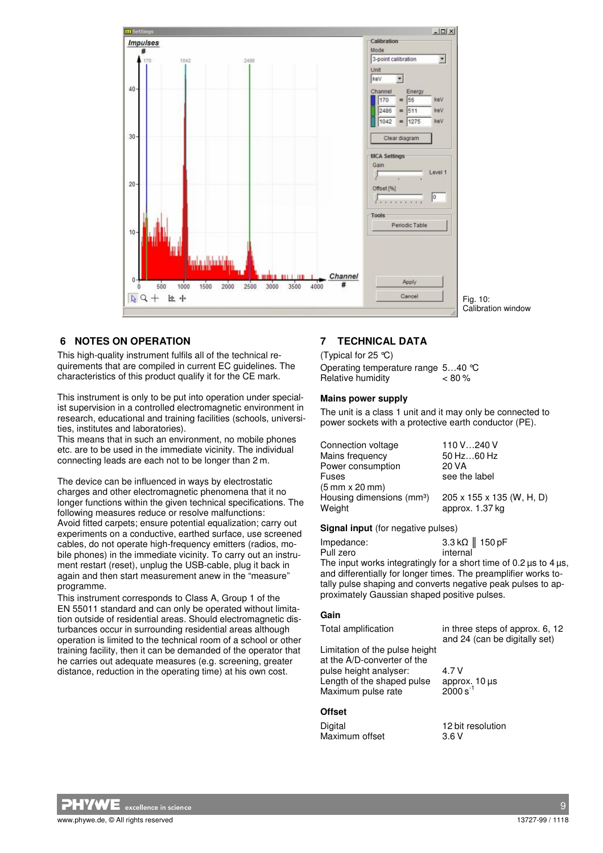

### **6 NOTES ON OPERATION**

This high-quality instrument fulfils all of the technical requirements that are compiled in current EC guidelines. The characteristics of this product qualify it for the CE mark.

This instrument is only to be put into operation under specialist supervision in a controlled electromagnetic environment in research, educational and training facilities (schools, universities, institutes and laboratories).

This means that in such an environment, no mobile phones etc. are to be used in the immediate vicinity. The individual connecting leads are each not to be longer than 2 m.

The device can be influenced in ways by electrostatic charges and other electromagnetic phenomena that it no longer functions within the given technical specifications. The following measures reduce or resolve malfunctions: Avoid fitted carpets; ensure potential equalization; carry out experiments on a conductive, earthed surface, use screened cables, do not operate high-frequency emitters (radios, mobile phones) in the immediate vicinity. To carry out an instrument restart (reset), unplug the USB-cable, plug it back in again and then start measurement anew in the "measure" programme.

This instrument corresponds to Class A, Group 1 of the EN 55011 standard and can only be operated without limitation outside of residential areas. Should electromagnetic disturbances occur in surrounding residential areas although operation is limited to the technical room of a school or other training facility, then it can be demanded of the operator that he carries out adequate measures (e.g. screening, greater distance, reduction in the operating time) at his own cost.

### **7 TECHNICAL DATA**

(Typical for 25 °C) Operating temperature range 5…40 °C Relative humidity  $< 80 \%$ 

#### **Mains power supply**

The unit is a class 1 unit and it may only be connected to power sockets with a protective earth conductor (PE).

| Connection voltage                    | 110 V240 V                |
|---------------------------------------|---------------------------|
| Mains frequency                       | 50 Hz60 Hz                |
| Power consumption                     | 20 VA                     |
| Fuses                                 | see the label             |
| $(5 \text{ mm} \times 20 \text{ mm})$ |                           |
| Housing dimensions (mm <sup>3</sup> ) | 205 x 155 x 135 (W, H, D) |
| Weight                                | approx. 1.37 kg           |

#### **Signal input** (for negative pulses)

| Impedance: | 3.3 k $\Omega$   150 pF                                     |
|------------|-------------------------------------------------------------|
| Pull zero  | internal                                                    |
|            | The innuiture distribution in fact a short time of $\Omega$ |

The input works integratingly for a short time of  $0.2 \,\mu s$  to  $4 \,\mu s$ , and differentially for longer times. The preamplifier works totally pulse shaping and converts negative peak pulses to approximately Gaussian shaped positive pulses.

#### **Gain**

| Total amplification                                                        | in three steps of approx. 6, 12<br>and 24 (can be digitally set) |
|----------------------------------------------------------------------------|------------------------------------------------------------------|
| Limitation of the pulse height<br>at the A/D-converter of the              |                                                                  |
| pulse height analyser:<br>Length of the shaped pulse<br>Maximum pulse rate | 4 7 V<br>approx. $10 \,\mu s$<br>2000 s <sup>-1</sup>            |

# **Offset**

Digital 12 bit resolution<br>
Maximum offset 13.6 V Maximum offset